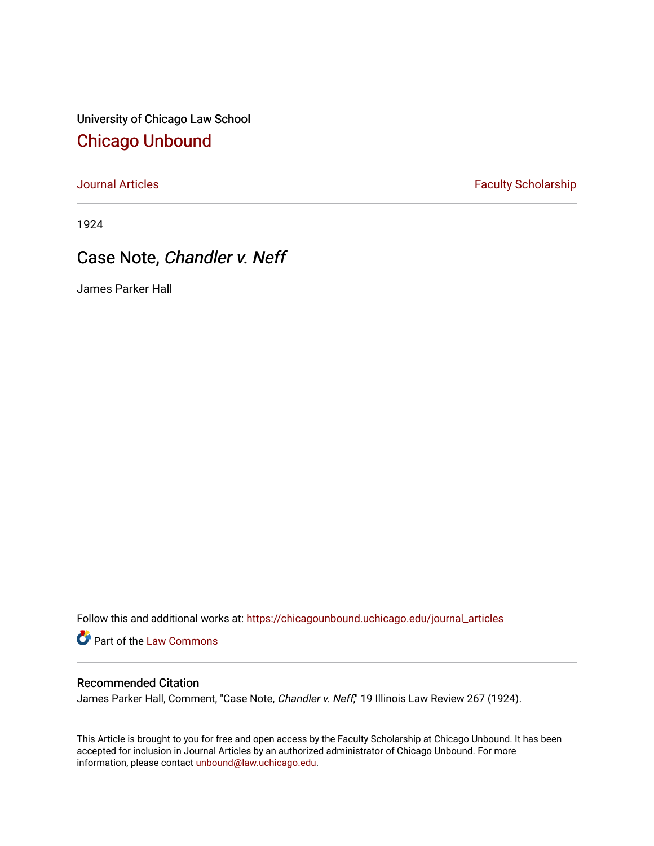University of Chicago Law School [Chicago Unbound](https://chicagounbound.uchicago.edu/)

[Journal Articles](https://chicagounbound.uchicago.edu/journal_articles) **Faculty Scholarship Faculty Scholarship** 

1924

## Case Note, Chandler v. Neff

James Parker Hall

Follow this and additional works at: [https://chicagounbound.uchicago.edu/journal\\_articles](https://chicagounbound.uchicago.edu/journal_articles?utm_source=chicagounbound.uchicago.edu%2Fjournal_articles%2F8981&utm_medium=PDF&utm_campaign=PDFCoverPages) 

Part of the [Law Commons](http://network.bepress.com/hgg/discipline/578?utm_source=chicagounbound.uchicago.edu%2Fjournal_articles%2F8981&utm_medium=PDF&utm_campaign=PDFCoverPages)

## Recommended Citation

James Parker Hall, Comment, "Case Note, Chandler v. Neff," 19 Illinois Law Review 267 (1924).

This Article is brought to you for free and open access by the Faculty Scholarship at Chicago Unbound. It has been accepted for inclusion in Journal Articles by an authorized administrator of Chicago Unbound. For more information, please contact [unbound@law.uchicago.edu](mailto:unbound@law.uchicago.edu).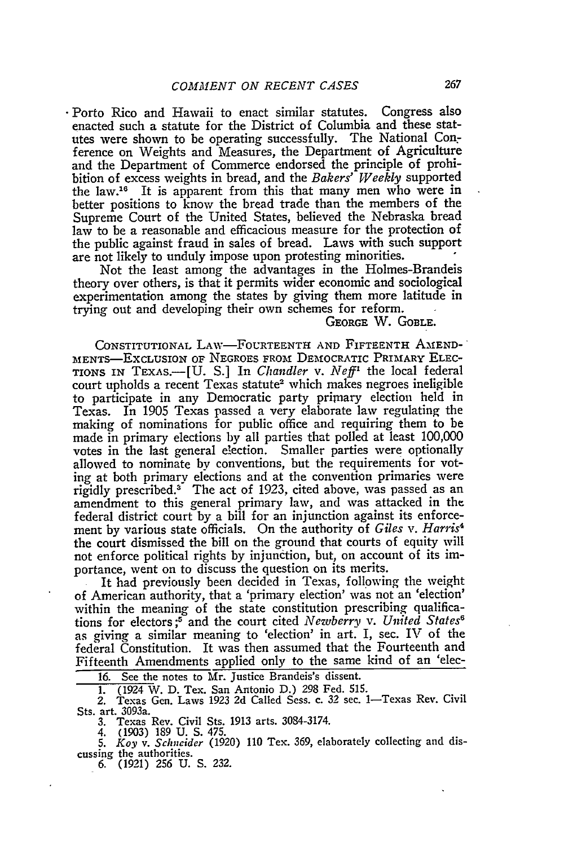-Porto Rico and Hawaii to enact similar statutes. Congress also enacted such a statute for the District of Columbia and these statutes were shown to be operating successfully. The National Conference on Weights and Measures, the Department of Agriculture and the Department of Commerce endorsed the principle of prohibition of excess weights in bread, and the *Bakers' Weekly* supported the law.16 It is apparent from this that many men who were in better positions to know the bread trade than the members of the Supreme Court of the United States, believed the Nebraska bread law to be a reasonable and efficacious measure for the protection of the public against fraud in sales of bread. Laws with such support are not likely to unduly impose upon protesting minorities.

Not the least among the advantages in the Holmes-Brandeis theory over others, is that it permits wider economic and sociological experimentation among the states by giving them more latitude in trying out and developing their own schemes for reform.

## GEORGE W. GOBLE.

CONSTITUTIONAL LAw-FoURTEENTH **AND** FIFTEENTH AIEND-' MENTS-EXCLUSION OF NEGROES FROM DEMOCRATIC PRIMARY ELEC-TIONS IN TEXAS.-[U. S.] In *Chandler* v. *Neff'* the local federal court upholds a recent Texas statute<sup>2</sup> which makes negroes ineligible to participate in any Democratic party primary election held in Texas. In 1905 Texas passed a very elaborate law regulating the making of nominations for public office and requiring them to be made in primary elections by all parties that polled at least 100,000 votes in the last general election. Smaller parties were optionally allowed to nominate by conventions, but the requirements for voting at both primary elections and at the convention primaries were rigidly prescribed.<sup>3</sup> The act of 1923, cited above, was passed as an amendment to this general primary law, and was attacked in the federal district court by a bill for an injunction against its enforcement by various state officials. On the authority of *Giles v. Harris4* the court dismissed the bill on the ground that courts of equity will not enforce political rights by injunction, but, on account of its importance, went on to discuss the question on its merits.

It had previously been decided in Texas, following the weight of American authority, that a 'primary election' was not an 'election' within the meaning of the state constitution prescribing qualifications for electors;<sup>5</sup> and the court cited *Newberry v. United States*<sup>6</sup> as giving a similar meaning to 'election' in art. I, sec. IV of the federal Constitution. It was then assumed that the Fourteenth and Fifteenth Amendments applied only to the same kind of an 'elec-

16. See the notes to Mr. Justice Brandeis's dissent.

1. (1924 W. D. Tex. San Antonio D.) 298 Fed. **515.** 2. Texas Gen. Laws 1923 2d Called Sess. c. 32 sec. 1-Texas Rev. Civil Sts. art. 3093a.

3. Texas Rev. Civil Sts. 1913 arts. 3084-3174. 4. (1903) 189 U. **S.** 475. 5. *Koy v. Schneider* (1920) 110 Tex. 369, elaborately collecting and discussing the authorities.

**6.** (1921) **256 U. S.** 232.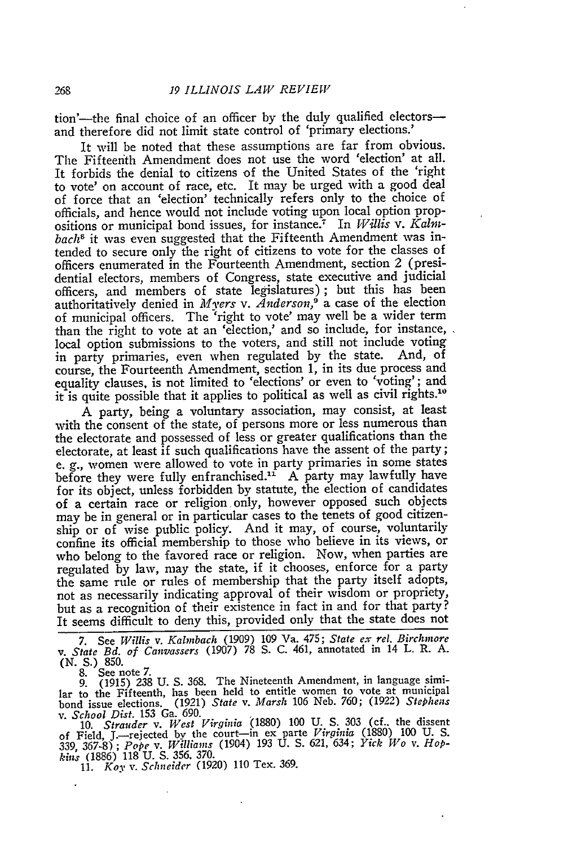tion'--the final choice of an officer by the duly qualified electorsand therefore did not limit state control of 'primary elections.'

It will be noted that these assumptions are far from obvious. The Fifteenth Amendment does not use the word 'election' at all. It forbids the denial to citizens of the United States of the 'right to vote' on account of race, etc. It may be urged with a good deal of force that an 'election' technically refers only to the choice of officials, and hence would not include voting upon local option propositions or municipal bond issues, for instance.7 In *Willis v. Kalnbach8* it was even suggested that the Fifteenth Amendment was intended to secure only the right of citizens to vote for the classes of officers enumerated in the Fourteenth Amendment, section 2 (presidential electors, members of Congress, state executive and judicial officers, and members of state legislatures); but this has been authoritatively denied in *Myers v. Anderson*,<sup> $\dot{\theta}$ </sup> a case of the election of municipal officers. The 'right to vote' may well be a wider term than the right to vote at an 'election,' and so include, for instance, local option submissions to the voters, and still not include voting in party primaries, even when regulated by the state. And, of course, the Fourteenth Amendment, section 1, in its due process and equality clauses, is not limited to 'elections' or even to 'voting'; and it is quite possible that it applies to political as well as civil rights.<sup>10</sup>

A party, being a voluntary association, may consist, at least with the consent of the state, of persons more or less numerous than the electorate and possessed of less or greater qualifications than the electorate, at least if such qualifications have the assent of the party; e. **g.,** women were allowed to vote in party primaries in some states before they were fully enfranchised.<sup>11</sup> A party may lawfully have for its object, unless forbidden **by** statute, the election of candidates of a certain race or religion, only, however opposed such objects may be in general or in particular cases to the tenets of good citizenship or of wise public policy. And it may, of course, voluntarily confine its official membership to those who believe in its views, or who belong to the favored race or religion. Now, when parties are regulated **by** law, may the state, if it chooses, enforce for a party the same rule or rules of membership that the party itself adopts, not as necessarily indicating approval of their wisdom or propriety, but as a recognition of their existence in fact in and for that party? It seems difficult to deny this, provided only that the state does not

**7.** See *Willis v. Kalmbach* (1909) 109 Va. 475; *State ex rel. Birchniore v. State Bd. of Canvassers* (1907) 78 S. C. 461, annotated in 14 L. R. A.

**(N. S.) 850.** 8. See note 7. 9. (1915) 238 U. S. 368. The Nineteenth Amendment, in language similar to the Fifteenth, has been held to entitle women to vote at municipal bond issue elections. (1921) *State v. Marsh* 106 Neb. 760; (1922) *Stephens v. School Dist.* 153 Ga. 690.

10. Strauder v. West Virginia (1880) 100 U. S. 303 (cf., the dissent<br>of Field, J.—rejected by the court—in ex parte Virginia (1880) 100 U. S.<br>339, 367-8); Pope v. Williams (1904) 193 U. S. 621, 634; Yick Wo v. Hop*kins* (1886) 118 U. **S.** 356, 370. 11. *Koy v. Schneider* (1920) 110 Tex. 369.